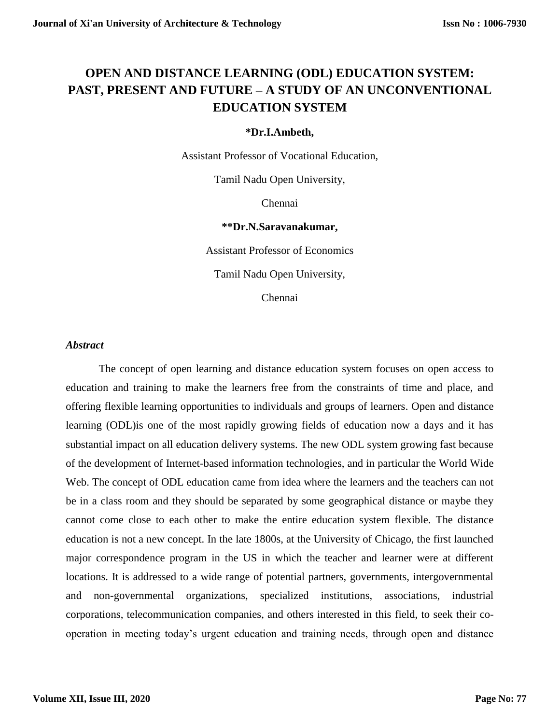# **OPEN AND DISTANCE LEARNING (ODL) EDUCATION SYSTEM: PAST, PRESENT AND FUTURE – A STUDY OF AN UNCONVENTIONAL EDUCATION SYSTEM**

#### **\*Dr.I.Ambeth,**

Assistant Professor of Vocational Education,

Tamil Nadu Open University,

Chennai

#### **\*\*Dr.N.Saravanakumar,**

Assistant Professor of Economics

Tamil Nadu Open University,

Chennai

#### *Abstract*

The concept of open learning and distance education system focuses on open access to education and training to make the learners free from the constraints of time and place, and offering flexible learning opportunities to individuals and groups of learners. Open and distance learning (ODL)is one of the most rapidly growing fields of education now a days and it has substantial impact on all education delivery systems. The new ODL system growing fast because of the development of Internet-based information technologies, and in particular the World Wide Web. The concept of ODL education came from idea where the learners and the teachers can not be in a class room and they should be separated by some geographical distance or maybe they cannot come close to each other to make the entire education system flexible. The distance education is not a new concept. In the late 1800s, at the University of Chicago, the first launched major correspondence program in the US in which the teacher and learner were at different locations. It is addressed to a wide range of potential partners, governments, intergovernmental and non-governmental organizations, specialized institutions, associations, industrial corporations, telecommunication companies, and others interested in this field, to seek their cooperation in meeting today's urgent education and training needs, through open and distance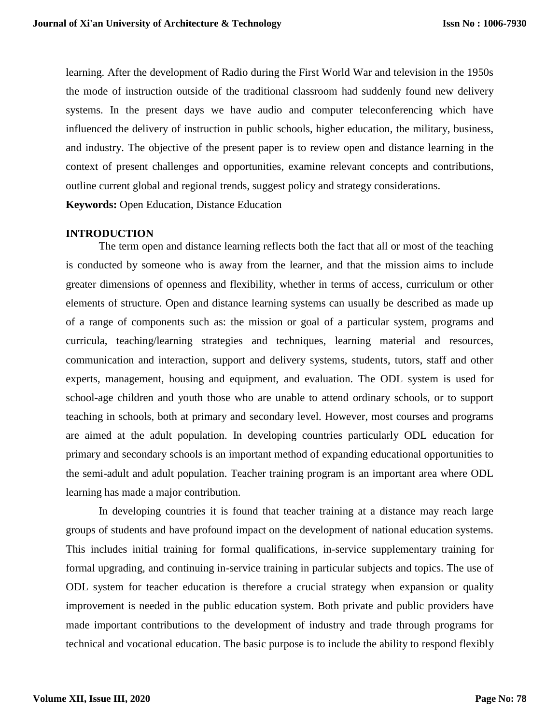learning. After the development of Radio during the First World War and television in the 1950s the mode of instruction outside of the traditional classroom had suddenly found new delivery systems. In the present days we have audio and computer teleconferencing which have influenced the delivery of instruction in public schools, higher education, the military, business, and industry. The objective of the present paper is to review open and distance learning in the context of present challenges and opportunities, examine relevant concepts and contributions, outline current global and regional trends, suggest policy and strategy considerations.

**Keywords:** Open Education, Distance Education

# **INTRODUCTION**

The term open and distance learning reflects both the fact that all or most of the teaching is conducted by someone who is away from the learner, and that the mission aims to include greater dimensions of openness and flexibility, whether in terms of access, curriculum or other elements of structure. Open and distance learning systems can usually be described as made up of a range of components such as: the mission or goal of a particular system, programs and curricula, teaching/learning strategies and techniques, learning material and resources, communication and interaction, support and delivery systems, students, tutors, staff and other experts, management, housing and equipment, and evaluation. The ODL system is used for school-age children and youth those who are unable to attend ordinary schools, or to support teaching in schools, both at primary and secondary level. However, most courses and programs are aimed at the adult population. In developing countries particularly ODL education for primary and secondary schools is an important method of expanding educational opportunities to the semi-adult and adult population. Teacher training program is an important area where ODL learning has made a major contribution.

In developing countries it is found that teacher training at a distance may reach large groups of students and have profound impact on the development of national education systems. This includes initial training for formal qualifications, in-service supplementary training for formal upgrading, and continuing in-service training in particular subjects and topics. The use of ODL system for teacher education is therefore a crucial strategy when expansion or quality improvement is needed in the public education system. Both private and public providers have made important contributions to the development of industry and trade through programs for technical and vocational education. The basic purpose is to include the ability to respond flexibly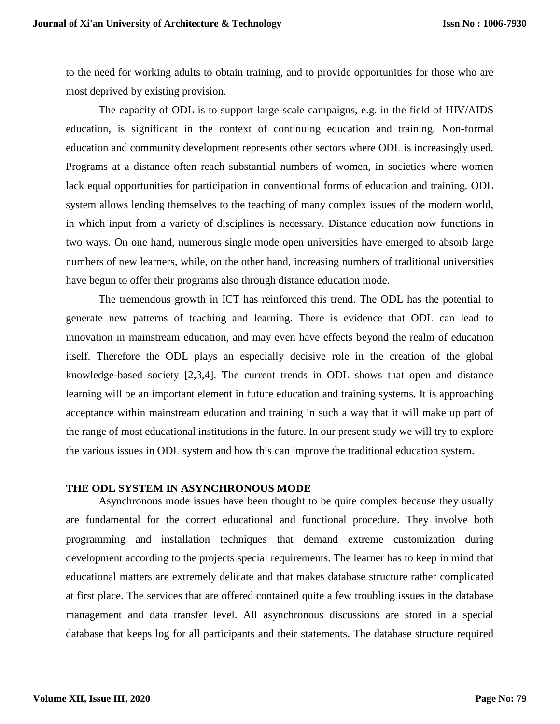to the need for working adults to obtain training, and to provide opportunities for those who are most deprived by existing provision.

The capacity of ODL is to support large-scale campaigns, e.g. in the field of HIV/AIDS education, is significant in the context of continuing education and training. Non-formal education and community development represents other sectors where ODL is increasingly used. Programs at a distance often reach substantial numbers of women, in societies where women lack equal opportunities for participation in conventional forms of education and training. ODL system allows lending themselves to the teaching of many complex issues of the modern world, in which input from a variety of disciplines is necessary. Distance education now functions in two ways. On one hand, numerous single mode open universities have emerged to absorb large numbers of new learners, while, on the other hand, increasing numbers of traditional universities have begun to offer their programs also through distance education mode.

The tremendous growth in ICT has reinforced this trend. The ODL has the potential to generate new patterns of teaching and learning. There is evidence that ODL can lead to innovation in mainstream education, and may even have effects beyond the realm of education itself. Therefore the ODL plays an especially decisive role in the creation of the global knowledge-based society [2,3,4]. The current trends in ODL shows that open and distance learning will be an important element in future education and training systems. It is approaching acceptance within mainstream education and training in such a way that it will make up part of the range of most educational institutions in the future. In our present study we will try to explore the various issues in ODL system and how this can improve the traditional education system.

#### **THE ODL SYSTEM IN ASYNCHRONOUS MODE**

Asynchronous mode issues have been thought to be quite complex because they usually are fundamental for the correct educational and functional procedure. They involve both programming and installation techniques that demand extreme customization during development according to the projects special requirements. The learner has to keep in mind that educational matters are extremely delicate and that makes database structure rather complicated at first place. The services that are offered contained quite a few troubling issues in the database management and data transfer level. All asynchronous discussions are stored in a special database that keeps log for all participants and their statements. The database structure required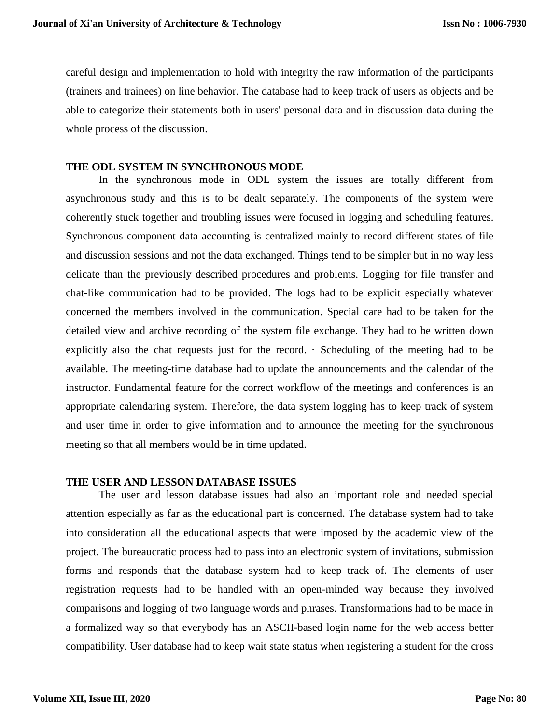careful design and implementation to hold with integrity the raw information of the participants (trainers and trainees) on line behavior. The database had to keep track of users as objects and be able to categorize their statements both in users' personal data and in discussion data during the whole process of the discussion.

# **THE ODL SYSTEM IN SYNCHRONOUS MODE**

In the synchronous mode in ODL system the issues are totally different from asynchronous study and this is to be dealt separately. The components of the system were coherently stuck together and troubling issues were focused in logging and scheduling features. Synchronous component data accounting is centralized mainly to record different states of file and discussion sessions and not the data exchanged. Things tend to be simpler but in no way less delicate than the previously described procedures and problems. Logging for file transfer and chat-like communication had to be provided. The logs had to be explicit especially whatever concerned the members involved in the communication. Special care had to be taken for the detailed view and archive recording of the system file exchange. They had to be written down explicitly also the chat requests just for the record.  $\cdot$  Scheduling of the meeting had to be available. The meeting-time database had to update the announcements and the calendar of the instructor. Fundamental feature for the correct workflow of the meetings and conferences is an appropriate calendaring system. Therefore, the data system logging has to keep track of system and user time in order to give information and to announce the meeting for the synchronous meeting so that all members would be in time updated.

#### **THE USER AND LESSON DATABASE ISSUES**

The user and lesson database issues had also an important role and needed special attention especially as far as the educational part is concerned. The database system had to take into consideration all the educational aspects that were imposed by the academic view of the project. The bureaucratic process had to pass into an electronic system of invitations, submission forms and responds that the database system had to keep track of. The elements of user registration requests had to be handled with an open-minded way because they involved comparisons and logging of two language words and phrases. Transformations had to be made in a formalized way so that everybody has an ASCII-based login name for the web access better compatibility. User database had to keep wait state status when registering a student for the cross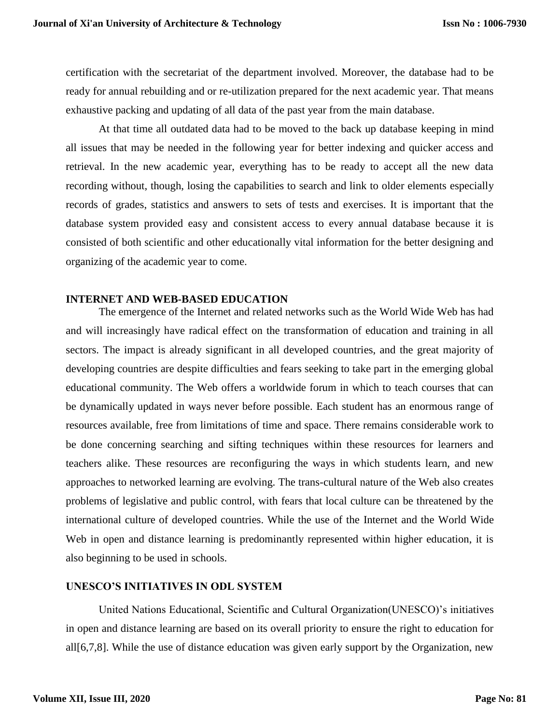certification with the secretariat of the department involved. Moreover, the database had to be ready for annual rebuilding and or re-utilization prepared for the next academic year. That means exhaustive packing and updating of all data of the past year from the main database.

At that time all outdated data had to be moved to the back up database keeping in mind all issues that may be needed in the following year for better indexing and quicker access and retrieval. In the new academic year, everything has to be ready to accept all the new data recording without, though, losing the capabilities to search and link to older elements especially records of grades, statistics and answers to sets of tests and exercises. It is important that the database system provided easy and consistent access to every annual database because it is consisted of both scientific and other educationally vital information for the better designing and organizing of the academic year to come.

# **INTERNET AND WEB-BASED EDUCATION**

The emergence of the Internet and related networks such as the World Wide Web has had and will increasingly have radical effect on the transformation of education and training in all sectors. The impact is already significant in all developed countries, and the great majority of developing countries are despite difficulties and fears seeking to take part in the emerging global educational community. The Web offers a worldwide forum in which to teach courses that can be dynamically updated in ways never before possible. Each student has an enormous range of resources available, free from limitations of time and space. There remains considerable work to be done concerning searching and sifting techniques within these resources for learners and teachers alike. These resources are reconfiguring the ways in which students learn, and new approaches to networked learning are evolving. The trans-cultural nature of the Web also creates problems of legislative and public control, with fears that local culture can be threatened by the international culture of developed countries. While the use of the Internet and the World Wide Web in open and distance learning is predominantly represented within higher education, it is also beginning to be used in schools.

# **UNESCO'S INITIATIVES IN ODL SYSTEM**

United Nations Educational, Scientific and Cultural Organization(UNESCO)'s initiatives in open and distance learning are based on its overall priority to ensure the right to education for all[6,7,8]. While the use of distance education was given early support by the Organization, new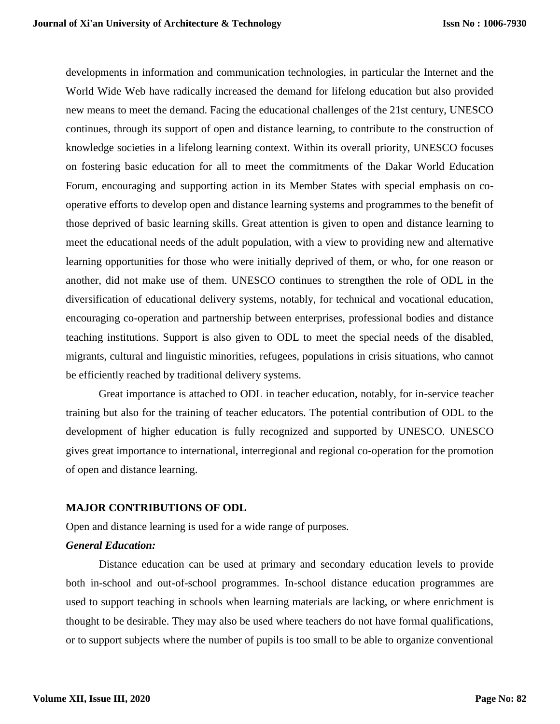developments in information and communication technologies, in particular the Internet and the World Wide Web have radically increased the demand for lifelong education but also provided new means to meet the demand. Facing the educational challenges of the 21st century, UNESCO continues, through its support of open and distance learning, to contribute to the construction of knowledge societies in a lifelong learning context. Within its overall priority, UNESCO focuses on fostering basic education for all to meet the commitments of the Dakar World Education Forum, encouraging and supporting action in its Member States with special emphasis on cooperative efforts to develop open and distance learning systems and programmes to the benefit of those deprived of basic learning skills. Great attention is given to open and distance learning to meet the educational needs of the adult population, with a view to providing new and alternative learning opportunities for those who were initially deprived of them, or who, for one reason or another, did not make use of them. UNESCO continues to strengthen the role of ODL in the diversification of educational delivery systems, notably, for technical and vocational education, encouraging co-operation and partnership between enterprises, professional bodies and distance teaching institutions. Support is also given to ODL to meet the special needs of the disabled, migrants, cultural and linguistic minorities, refugees, populations in crisis situations, who cannot be efficiently reached by traditional delivery systems.

Great importance is attached to ODL in teacher education, notably, for in-service teacher training but also for the training of teacher educators. The potential contribution of ODL to the development of higher education is fully recognized and supported by UNESCO. UNESCO gives great importance to international, interregional and regional co-operation for the promotion of open and distance learning.

# **MAJOR CONTRIBUTIONS OF ODL**

Open and distance learning is used for a wide range of purposes.

# *General Education:*

Distance education can be used at primary and secondary education levels to provide both in-school and out-of-school programmes. In-school distance education programmes are used to support teaching in schools when learning materials are lacking, or where enrichment is thought to be desirable. They may also be used where teachers do not have formal qualifications, or to support subjects where the number of pupils is too small to be able to organize conventional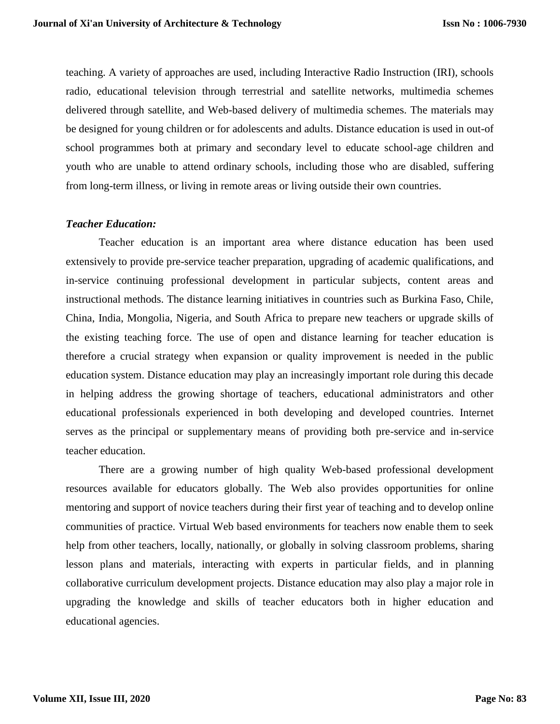teaching. A variety of approaches are used, including Interactive Radio Instruction (IRI), schools radio, educational television through terrestrial and satellite networks, multimedia schemes delivered through satellite, and Web-based delivery of multimedia schemes. The materials may be designed for young children or for adolescents and adults. Distance education is used in out-of school programmes both at primary and secondary level to educate school-age children and youth who are unable to attend ordinary schools, including those who are disabled, suffering from long-term illness, or living in remote areas or living outside their own countries.

# *Teacher Education:*

Teacher education is an important area where distance education has been used extensively to provide pre-service teacher preparation, upgrading of academic qualifications, and in-service continuing professional development in particular subjects, content areas and instructional methods. The distance learning initiatives in countries such as Burkina Faso, Chile, China, India, Mongolia, Nigeria, and South Africa to prepare new teachers or upgrade skills of the existing teaching force. The use of open and distance learning for teacher education is therefore a crucial strategy when expansion or quality improvement is needed in the public education system. Distance education may play an increasingly important role during this decade in helping address the growing shortage of teachers, educational administrators and other educational professionals experienced in both developing and developed countries. Internet serves as the principal or supplementary means of providing both pre-service and in-service teacher education.

There are a growing number of high quality Web-based professional development resources available for educators globally. The Web also provides opportunities for online mentoring and support of novice teachers during their first year of teaching and to develop online communities of practice. Virtual Web based environments for teachers now enable them to seek help from other teachers, locally, nationally, or globally in solving classroom problems, sharing lesson plans and materials, interacting with experts in particular fields, and in planning collaborative curriculum development projects. Distance education may also play a major role in upgrading the knowledge and skills of teacher educators both in higher education and educational agencies.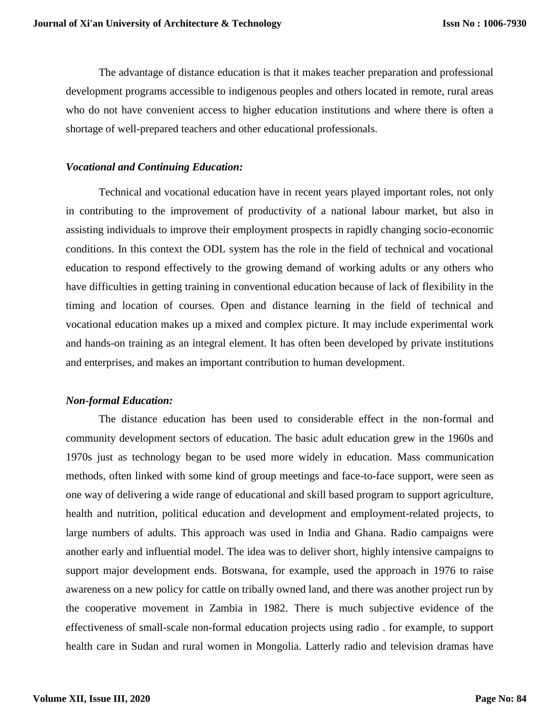The advantage of distance education is that it makes teacher preparation and professional development programs accessible to indigenous peoples and others located in remote, rural areas who do not have convenient access to higher education institutions and where there is often a shortage of well-prepared teachers and other educational professionals.

#### *Vocational and Continuing Education:*

Technical and vocational education have in recent years played important roles, not only in contributing to the improvement of productivity of a national labour market, but also in assisting individuals to improve their employment prospects in rapidly changing socio-economic conditions. In this context the ODL system has the role in the field of technical and vocational education to respond effectively to the growing demand of working adults or any others who have difficulties in getting training in conventional education because of lack of flexibility in the timing and location of courses. Open and distance learning in the field of technical and vocational education makes up a mixed and complex picture. It may include experimental work and hands-on training as an integral element. It has often been developed by private institutions and enterprises, and makes an important contribution to human development.

#### *Non-formal Education:*

The distance education has been used to considerable effect in the non-formal and community development sectors of education. The basic adult education grew in the 1960s and 1970s just as technology began to be used more widely in education. Mass communication methods, often linked with some kind of group meetings and face-to-face support, were seen as one way of delivering a wide range of educational and skill based program to support agriculture, health and nutrition, political education and development and employment-related projects, to large numbers of adults. This approach was used in India and Ghana. Radio campaigns were another early and influential model. The idea was to deliver short, highly intensive campaigns to support major development ends. Botswana, for example, used the approach in 1976 to raise awareness on a new policy for cattle on tribally owned land, and there was another project run by the cooperative movement in Zambia in 1982. There is much subjective evidence of the effectiveness of small-scale non-formal education projects using radio . for example, to support health care in Sudan and rural women in Mongolia. Latterly radio and television dramas have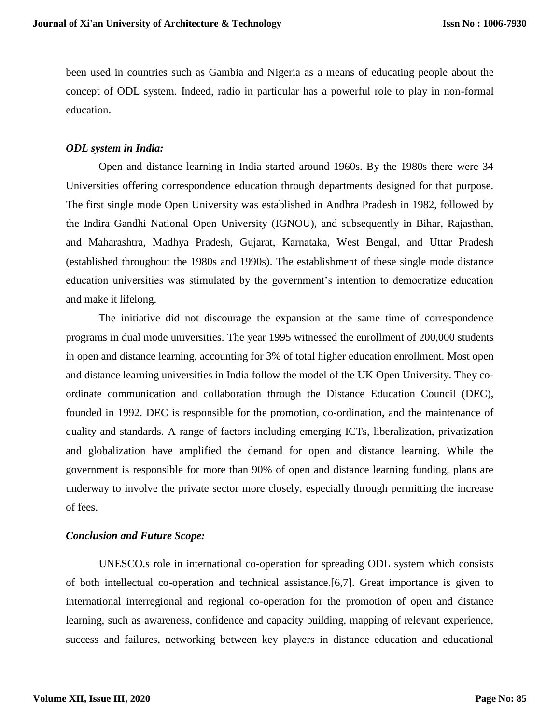been used in countries such as Gambia and Nigeria as a means of educating people about the concept of ODL system. Indeed, radio in particular has a powerful role to play in non-formal education.

# *ODL system in India:*

Open and distance learning in India started around 1960s. By the 1980s there were 34 Universities offering correspondence education through departments designed for that purpose. The first single mode Open University was established in Andhra Pradesh in 1982, followed by the Indira Gandhi National Open University (IGNOU), and subsequently in Bihar, Rajasthan, and Maharashtra, Madhya Pradesh, Gujarat, Karnataka, West Bengal, and Uttar Pradesh (established throughout the 1980s and 1990s). The establishment of these single mode distance education universities was stimulated by the government's intention to democratize education and make it lifelong.

The initiative did not discourage the expansion at the same time of correspondence programs in dual mode universities. The year 1995 witnessed the enrollment of 200,000 students in open and distance learning, accounting for 3% of total higher education enrollment. Most open and distance learning universities in India follow the model of the UK Open University. They coordinate communication and collaboration through the Distance Education Council (DEC), founded in 1992. DEC is responsible for the promotion, co-ordination, and the maintenance of quality and standards. A range of factors including emerging ICTs, liberalization, privatization and globalization have amplified the demand for open and distance learning. While the government is responsible for more than 90% of open and distance learning funding, plans are underway to involve the private sector more closely, especially through permitting the increase of fees.

# *Conclusion and Future Scope:*

UNESCO.s role in international co-operation for spreading ODL system which consists of both intellectual co-operation and technical assistance.[6,7]. Great importance is given to international interregional and regional co-operation for the promotion of open and distance learning, such as awareness, confidence and capacity building, mapping of relevant experience, success and failures, networking between key players in distance education and educational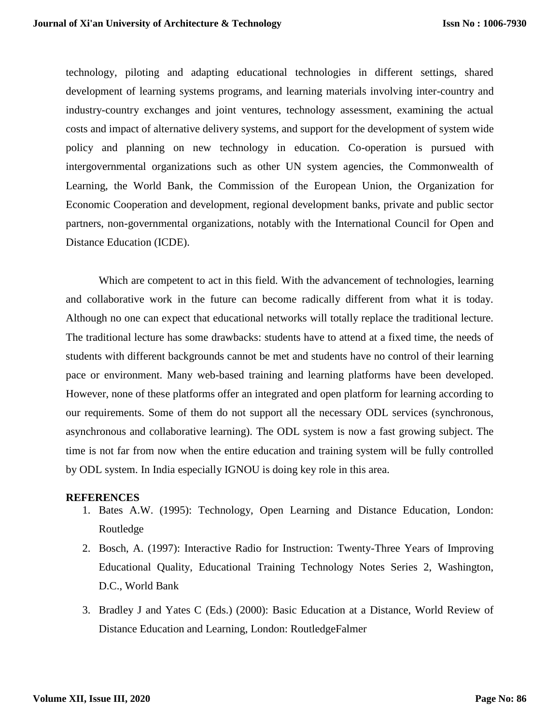technology, piloting and adapting educational technologies in different settings, shared development of learning systems programs, and learning materials involving inter-country and industry-country exchanges and joint ventures, technology assessment, examining the actual costs and impact of alternative delivery systems, and support for the development of system wide policy and planning on new technology in education. Co-operation is pursued with intergovernmental organizations such as other UN system agencies, the Commonwealth of Learning, the World Bank, the Commission of the European Union, the Organization for Economic Cooperation and development, regional development banks, private and public sector partners, non-governmental organizations, notably with the International Council for Open and Distance Education (ICDE).

Which are competent to act in this field. With the advancement of technologies, learning and collaborative work in the future can become radically different from what it is today. Although no one can expect that educational networks will totally replace the traditional lecture. The traditional lecture has some drawbacks: students have to attend at a fixed time, the needs of students with different backgrounds cannot be met and students have no control of their learning pace or environment. Many web-based training and learning platforms have been developed. However, none of these platforms offer an integrated and open platform for learning according to our requirements. Some of them do not support all the necessary ODL services (synchronous, asynchronous and collaborative learning). The ODL system is now a fast growing subject. The time is not far from now when the entire education and training system will be fully controlled by ODL system. In India especially IGNOU is doing key role in this area.

#### **REFERENCES**

- 1. Bates A.W. (1995): Technology, Open Learning and Distance Education, London: Routledge
- 2. Bosch, A. (1997): Interactive Radio for Instruction: Twenty-Three Years of Improving Educational Quality, Educational Training Technology Notes Series 2, Washington, D.C., World Bank
- 3. Bradley J and Yates C (Eds.) (2000): Basic Education at a Distance, World Review of Distance Education and Learning, London: RoutledgeFalmer